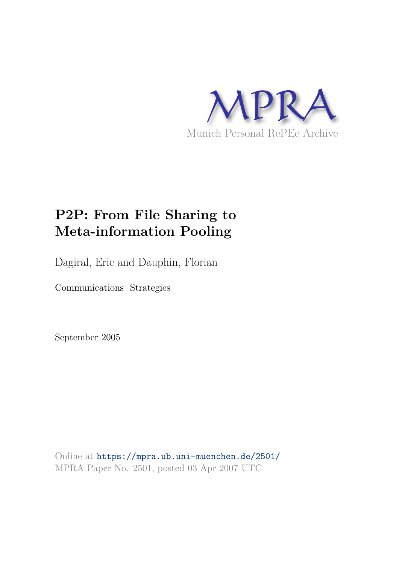

# **P2P: From File Sharing to Meta-information Pooling**

Dagiral, Eric and Dauphin, Florian

Communications Strategies

September 2005

Online at https://mpra.ub.uni-muenchen.de/2501/ MPRA Paper No. 2501, posted 03 Apr 2007 UTC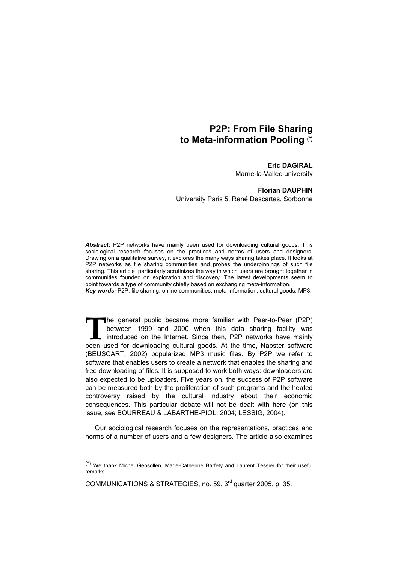# **P2P: From File Sharing to Meta-information Pooling (\*)**

# **Eric DAGIRAL**

Marne-la-Vallée university

## **Florian DAUPHIN**

University Paris 5, René Descartes, Sorbonne

*Abstract:* P2P networks have mainly been used for downloading cultural goods. This sociological research focuses on the practices and norms of users and designers. Drawing on a qualitative survey, it explores the many ways sharing takes place. It looks at P2P networks as file sharing communities and probes the underpinnings of such file sharing. This article particularly scrutinizes the way in which users are brought together in communities founded on exploration and discovery. The latest developments seem to point towards a type of community chiefly based on exchanging meta-information. *Key words:* P2P, file sharing, online communities, meta-information, cultural goods, MP3.

The general public became more familiar with Peer-to-Peer (P2P) between 1999 and 2000 when this data sharing facility was The general public became more familiar with Peer-to-Peer (P2P) between 1999 and 2000 when this data sharing facility was introduced on the Internet. Since then, P2P networks have mainly been used for downloading cultural goods. At the time, Napster software (BEUSCART, 2002) popularized MP3 music files. By P2P we refer to software that enables users to create a network that enables the sharing and free downloading of files. It is supposed to work both ways: downloaders are also expected to be uploaders. Five years on, the success of P2P software can be measured both by the proliferation of such programs and the heated controversy raised by the cultural industry about their economic consequences. This particular debate will not be dealt with here (on this issue, see BOURREAU & LABARTHE-PIOL, 2004; LESSIG, 2004).

Our sociological research focuses on the representations, practices and norms of a number of users and a few designers. The article also examines

-

<sup>(\*)</sup> We thank Michel Gensollen, Marie-Catherine Barfety and Laurent Tessier for their useful remarks.

COMMUNICATIONS & STRATEGIES, no. 59, 3rd quarter 2005, p. 35.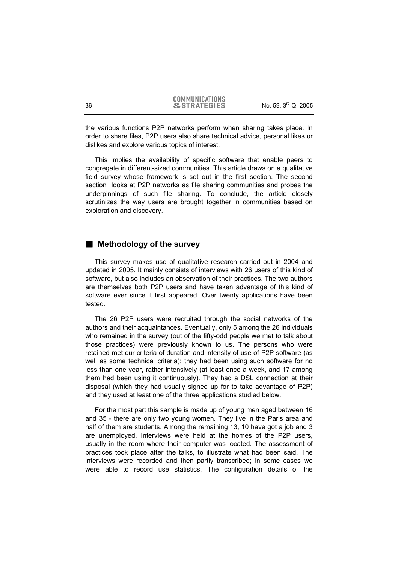|    | <b>COMMUNICATIONS</b>  |                                 |
|----|------------------------|---------------------------------|
| 36 | <b>&amp;STRATEGIES</b> | No. 59, 3 <sup>rd</sup> Q. 2005 |

the various functions P2P networks perform when sharing takes place. In order to share files, P2P users also share technical advice, personal likes or dislikes and explore various topics of interest.

This implies the availability of specific software that enable peers to congregate in different-sized communities. This article draws on a qualitative field survey whose framework is set out in the first section. The second section looks at P2P networks as file sharing communities and probes the underpinnings of such file sharing. To conclude, the article closely scrutinizes the way users are brought together in communities based on exploration and discovery.

# **Methodology of the survey**

This survey makes use of qualitative research carried out in 2004 and updated in 2005. It mainly consists of interviews with 26 users of this kind of software, but also includes an observation of their practices. The two authors are themselves both P2P users and have taken advantage of this kind of software ever since it first appeared. Over twenty applications have been tested.

The 26 P2P users were recruited through the social networks of the authors and their acquaintances. Eventually, only 5 among the 26 individuals who remained in the survey (out of the fifty-odd people we met to talk about those practices) were previously known to us. The persons who were retained met our criteria of duration and intensity of use of P2P software (as well as some technical criteria): they had been using such software for no less than one year, rather intensively (at least once a week, and 17 among them had been using it continuously). They had a DSL connection at their disposal (which they had usually signed up for to take advantage of P2P) and they used at least one of the three applications studied below.

For the most part this sample is made up of young men aged between 16 and 35 - there are only two young women. They live in the Paris area and half of them are students. Among the remaining 13, 10 have got a job and 3 are unemployed. Interviews were held at the homes of the P2P users, usually in the room where their computer was located. The assessment of practices took place after the talks, to illustrate what had been said. The interviews were recorded and then partly transcribed; in some cases we were able to record use statistics. The configuration details of the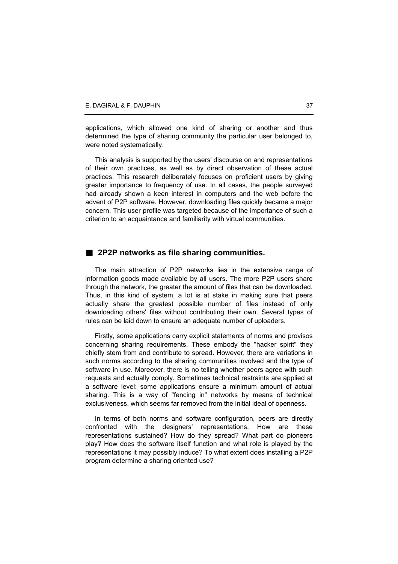applications, which allowed one kind of sharing or another and thus determined the type of sharing community the particular user belonged to, were noted systematically.

This analysis is supported by the users' discourse on and representations of their own practices, as well as by direct observation of these actual practices. This research deliberately focuses on proficient users by giving greater importance to frequency of use. In all cases, the people surveyed had already shown a keen interest in computers and the web before the advent of P2P software. However, downloading files quickly became a major concern. This user profile was targeted because of the importance of such a criterion to an acquaintance and familiarity with virtual communities.

# **2P2P networks as file sharing communities.**

The main attraction of P2P networks lies in the extensive range of information goods made available by all users. The more P2P users share through the network, the greater the amount of files that can be downloaded. Thus, in this kind of system, a lot is at stake in making sure that peers actually share the greatest possible number of files instead of only downloading others' files without contributing their own. Several types of rules can be laid down to ensure an adequate number of uploaders.

Firstly, some applications carry explicit statements of norms and provisos concerning sharing requirements. These embody the "hacker spirit" they chiefly stem from and contribute to spread. However, there are variations in such norms according to the sharing communities involved and the type of software in use. Moreover, there is no telling whether peers agree with such requests and actually comply. Sometimes technical restraints are applied at a software level: some applications ensure a minimum amount of actual sharing. This is a way of "fencing in" networks by means of technical exclusiveness, which seems far removed from the initial ideal of openness.

In terms of both norms and software configuration, peers are directly confronted with the designers' representations. How are these representations sustained? How do they spread? What part do pioneers play? How does the software itself function and what role is played by the representations it may possibly induce? To what extent does installing a P2P program determine a sharing oriented use?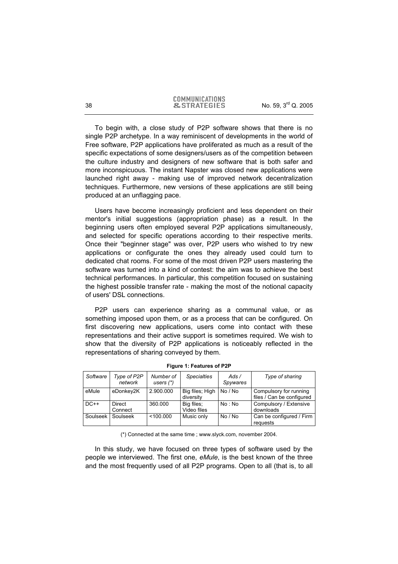To begin with, a close study of P2P software shows that there is no single P2P archetype. In a way reminiscent of developments in the world of Free software, P2P applications have proliferated as much as a result of the specific expectations of some designers/users as of the competition between the culture industry and designers of new software that is both safer and more inconspicuous. The instant Napster was closed new applications were launched right away - making use of improved network decentralization techniques. Furthermore, new versions of these applications are still being produced at an unflagging pace.

Users have become increasingly proficient and less dependent on their mentor's initial suggestions (appropriation phase) as a result. In the beginning users often employed several P2P applications simultaneously, and selected for specific operations according to their respective merits. Once their "beginner stage" was over, P2P users who wished to try new applications or configurate the ones they already used could turn to dedicated chat rooms. For some of the most driven P2P users mastering the software was turned into a kind of contest: the aim was to achieve the best technical performances. In particular, this competition focused on sustaining the highest possible transfer rate - making the most of the notional capacity of users' DSL connections.

P2P users can experience sharing as a communal value, or as something imposed upon them, or as a process that can be configured. On first discovering new applications, users come into contact with these representations and their active support is sometimes required. We wish to show that the diversity of P2P applications is noticeably reflected in the representations of sharing conveyed by them.

| Software | Type of P2P<br>network | Number of<br>users $(*)$ | <b>Specialties</b>           | Ads/<br>Spywares | Type of sharing                                     |
|----------|------------------------|--------------------------|------------------------------|------------------|-----------------------------------------------------|
| eMule    | eDonkey2K              | 2.900.000                | Big files; High<br>diversity | No / No          | Compulsory for running<br>files / Can be configured |
| $DC++$   | Direct<br>Connect      | 360,000                  | Big files:<br>Video files    | No : No          | Compulsory / Extensive<br>downloads                 |
| Soulseek | Soulseek               | < 100.000                | Music only                   | No / No          | Can be configured / Firm<br>requests                |

**Figure 1: Features of P2P** 

(\*) Connected at the same time ; www.slyck.com, november 2004.

In this study, we have focused on three types of software used by the people we interviewed. The first one, *eMule*, is the best known of the three and the most frequently used of all P2P programs. Open to all (that is, to all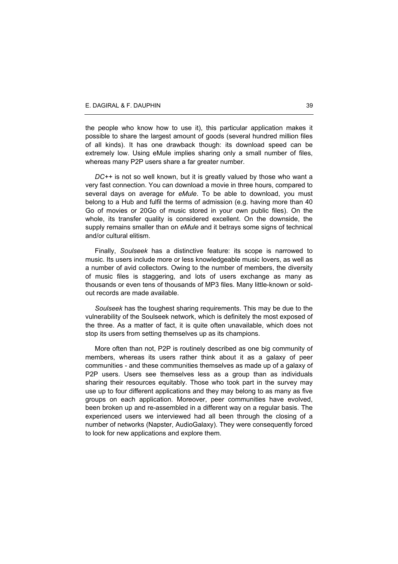the people who know how to use it), this particular application makes it possible to share the largest amount of goods (several hundred million files of all kinds). It has one drawback though: its download speed can be extremely low. Using eMule implies sharing only a small number of files, whereas many P2P users share a far greater number.

*DC++* is not so well known, but it is greatly valued by those who want a very fast connection. You can download a movie in three hours, compared to several days on average for *eMule*. To be able to download, you must belong to a Hub and fulfil the terms of admission (e.g. having more than 40 Go of movies or 20Go of music stored in your own public files). On the whole, its transfer quality is considered excellent. On the downside, the supply remains smaller than on *eMule* and it betrays some signs of technical and/or cultural elitism.

Finally, *Soulseek* has a distinctive feature: its scope is narrowed to music. Its users include more or less knowledgeable music lovers, as well as a number of avid collectors. Owing to the number of members, the diversity of music files is staggering, and lots of users exchange as many as thousands or even tens of thousands of MP3 files. Many little-known or soldout records are made available.

*Soulseek* has the toughest sharing requirements. This may be due to the vulnerability of the Soulseek network, which is definitely the most exposed of the three. As a matter of fact, it is quite often unavailable, which does not stop its users from setting themselves up as its champions.

More often than not, P2P is routinely described as one big community of members, whereas its users rather think about it as a galaxy of peer communities - and these communities themselves as made up of a galaxy of P2P users. Users see themselves less as a group than as individuals sharing their resources equitably. Those who took part in the survey may use up to four different applications and they may belong to as many as five groups on each application. Moreover, peer communities have evolved, been broken up and re-assembled in a different way on a regular basis. The experienced users we interviewed had all been through the closing of a number of networks (Napster, AudioGalaxy). They were consequently forced to look for new applications and explore them.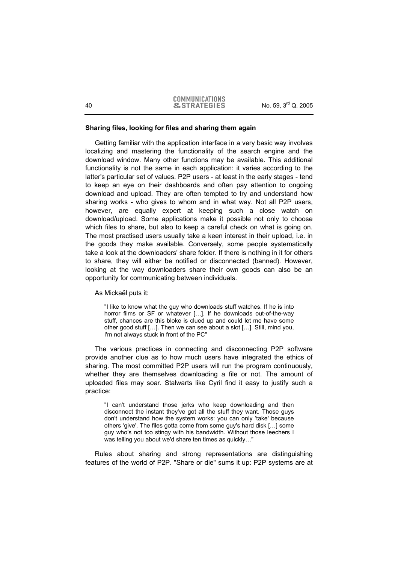# **Sharing files, looking for files and sharing them again**

Getting familiar with the application interface in a very basic way involves localizing and mastering the functionality of the search engine and the download window. Many other functions may be available. This additional functionality is not the same in each application: it varies according to the latter's particular set of values. P2P users - at least in the early stages - tend to keep an eye on their dashboards and often pay attention to ongoing download and upload. They are often tempted to try and understand how sharing works - who gives to whom and in what way. Not all P2P users, however, are equally expert at keeping such a close watch on download/upload. Some applications make it possible not only to choose which files to share, but also to keep a careful check on what is going on. The most practised users usually take a keen interest in their upload, i.e. in the goods they make available. Conversely, some people systematically take a look at the downloaders' share folder. If there is nothing in it for others to share, they will either be notified or disconnected (banned). However, looking at the way downloaders share their own goods can also be an opportunity for communicating between individuals.

As Mickaël puts it:

"I like to know what the guy who downloads stuff watches. If he is into horror films or SF or whatever […]. If he downloads out-of-the-way stuff, chances are this bloke is clued up and could let me have some other good stuff […]. Then we can see about a slot […]. Still, mind you, I'm not always stuck in front of the PC"

The various practices in connecting and disconnecting P2P software provide another clue as to how much users have integrated the ethics of sharing. The most committed P2P users will run the program continuously, whether they are themselves downloading a file or not. The amount of uploaded files may soar. Stalwarts like Cyril find it easy to justify such a practice:

"I can't understand those jerks who keep downloading and then disconnect the instant they've got all the stuff they want. Those guys don't understand how the system works: you can only 'take' because others 'give'. The files gotta come from some guy's hard disk […] some guy who's not too stingy with his bandwidth. Without those leechers I was telling you about we'd share ten times as quickly…"

Rules about sharing and strong representations are distinguishing features of the world of P2P. "Share or die" sums it up: P2P systems are at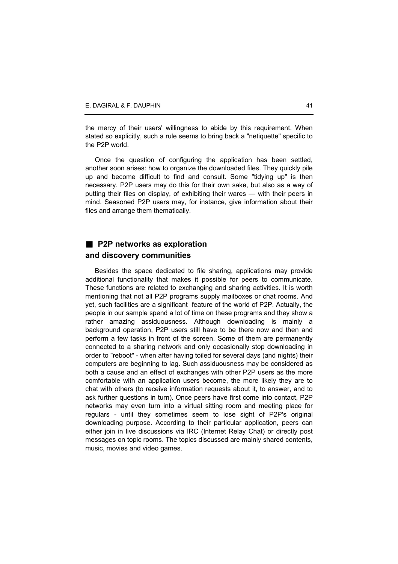the mercy of their users' willingness to abide by this requirement. When stated so explicitly, such a rule seems to bring back a "netiquette" specific to the P2P world.

Once the question of configuring the application has been settled, another soon arises: how to organize the downloaded files. They quickly pile up and become difficult to find and consult. Some "tidying up" is then necessary. P2P users may do this for their own sake, but also as a way of putting their files on display, of exhibiting their wares — with their peers in mind. Seasoned P2P users may, for instance, give information about their files and arrange them thematically.

# **P2P networks as exploration and discovery communities**

Besides the space dedicated to file sharing, applications may provide additional functionality that makes it possible for peers to communicate. These functions are related to exchanging and sharing activities. It is worth mentioning that not all P2P programs supply mailboxes or chat rooms. And yet, such facilities are a significant feature of the world of P2P. Actually, the people in our sample spend a lot of time on these programs and they show a rather amazing assiduousness. Although downloading is mainly a background operation, P2P users still have to be there now and then and perform a few tasks in front of the screen. Some of them are permanently connected to a sharing network and only occasionally stop downloading in order to "reboot" - when after having toiled for several days (and nights) their computers are beginning to lag. Such assiduousness may be considered as both a cause and an effect of exchanges with other P2P users as the more comfortable with an application users become, the more likely they are to chat with others (to receive information requests about it, to answer, and to ask further questions in turn). Once peers have first come into contact, P2P networks may even turn into a virtual sitting room and meeting place for regulars - until they sometimes seem to lose sight of P2P's original downloading purpose. According to their particular application, peers can either join in live discussions via IRC (Internet Relay Chat) or directly post messages on topic rooms. The topics discussed are mainly shared contents, music, movies and video games.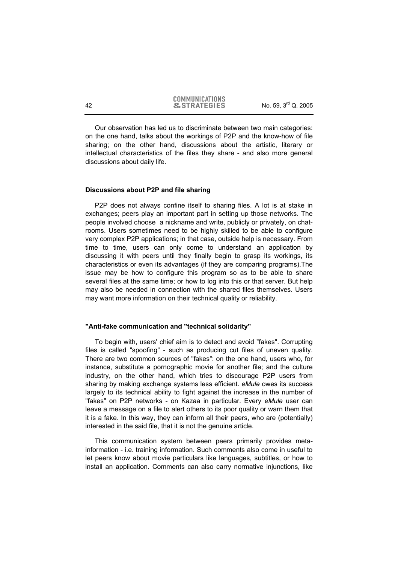Our observation has led us to discriminate between two main categories: on the one hand, talks about the workings of P2P and the know-how of file sharing; on the other hand, discussions about the artistic, literary or intellectual characteristics of the files they share - and also more general discussions about daily life.

# **Discussions about P2P and file sharing**

P2P does not always confine itself to sharing files. A lot is at stake in exchanges; peers play an important part in setting up those networks. The people involved choose a nickname and write, publicly or privately, on chatrooms. Users sometimes need to be highly skilled to be able to configure very complex P2P applications; in that case, outside help is necessary. From time to time, users can only come to understand an application by discussing it with peers until they finally begin to grasp its workings, its characteristics or even its advantages (if they are comparing programs).The issue may be how to configure this program so as to be able to share several files at the same time; or how to log into this or that server. But help may also be needed in connection with the shared files themselves. Users may want more information on their technical quality or reliability.

## **"Anti-fake communication and "technical solidarity"**

To begin with, users' chief aim is to detect and avoid "fakes". Corrupting files is called "spoofing" - such as producing cut files of uneven quality. There are two common sources of "fakes": on the one hand, users who, for instance, substitute a pornographic movie for another file; and the culture industry, on the other hand, which tries to discourage P2P users from sharing by making exchange systems less efficient. *eMule* owes its success largely to its technical ability to fight against the increase in the number of "fakes" on P2P networks - on Kazaa in particular. Every *eMule* user can leave a message on a file to alert others to its poor quality or warn them that it is a fake. In this way, they can inform all their peers, who are (potentially) interested in the said file, that it is not the genuine article.

This communication system between peers primarily provides metainformation - i.e. training information. Such comments also come in useful to let peers know about movie particulars like languages, subtitles, or how to install an application. Comments can also carry normative injunctions, like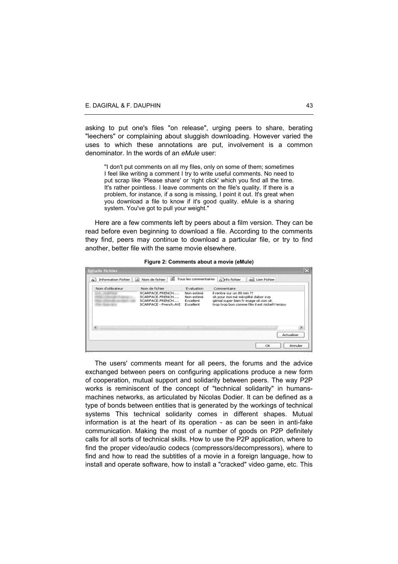asking to put one's files "on release", urging peers to share, berating "leechers" or complaining about sluggish downloading. However varied the uses to which these annotations are put, involvement is a common denominator. In the words of an *eMule* user:

"I don't put comments on all my files, only on some of them; sometimes I feel like writing a comment I try to write useful comments. No need to put scrap like 'Please share' or 'right click' which you find all the time. It's rather pointless. I leave comments on the file's quality. If there is a problem, for instance, if a song is missing, I point it out. It's great when you download a file to know if it's good quality. eMule is a sharing system. You've got to pull your weight."

Here are a few comments left by peers about a film version. They can be read before even beginning to download a file. According to the comments they find, peers may continue to download a particular file, or try to find another, better file with the same movie elsewhere.

| <b>Information Fichier</b> | Nom de fichier<br>aĥ                                                                                           | 66 | Tous les commentaires                                            | a Info fichier                                                                                                          | Lien Fichier<br>$-128$                         |                       |
|----------------------------|----------------------------------------------------------------------------------------------------------------|----|------------------------------------------------------------------|-------------------------------------------------------------------------------------------------------------------------|------------------------------------------------|-----------------------|
| Nom d'utilisateur          | Nom de fichier<br>SCARFACE, FRENCH<br>SCARFACE, FRENCH<br>SCARFACE, FRENCH<br>SCARFACE - French.AVI            |    | Evaluation<br>Non estimé<br>Non estimé<br>Excellent<br>Excellent | Commentaire<br>il rentre sur un 80 min ??<br>ok pour moi mé méxpliké dabor svp<br>génial super bien fr image ok son ok. | trop trop bon comme film il est nickel!!!enjoy |                       |
|                            | analista di silvile delle colore delle companie delle colore dell'organisme dell'alle della colore dell'alle d |    |                                                                  |                                                                                                                         | OK                                             | Actualiser<br>Annuler |

**Figure 2: Comments about a movie (eMule)** 

The users' comments meant for all peers, the forums and the advice exchanged between peers on configuring applications produce a new form of cooperation, mutual support and solidarity between peers. The way P2P works is reminiscent of the concept of "technical solidarity" in humansmachines networks, as articulated by Nicolas Dodier. It can be defined as a type of bonds between entities that is generated by the workings of technical systems This technical solidarity comes in different shapes. Mutual information is at the heart of its operation - as can be seen in anti-fake communication. Making the most of a number of goods on P2P definitely calls for all sorts of technical skills. How to use the P2P application, where to find the proper video/audio codecs (compressors/decompressors), where to find and how to read the subtitles of a movie in a foreign language, how to install and operate software, how to install a "cracked" video game, etc. This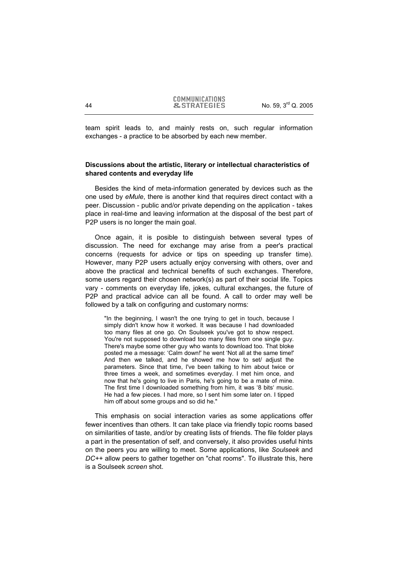team spirit leads to, and mainly rests on, such regular information exchanges - a practice to be absorbed by each new member.

# **Discussions about the artistic, literary or intellectual characteristics of shared contents and everyday life**

Besides the kind of meta-information generated by devices such as the one used by *eMule*, there is another kind that requires direct contact with a peer. Discussion - public and/or private depending on the application - takes place in real-time and leaving information at the disposal of the best part of P2P users is no longer the main goal.

Once again, it is posible to distinguish between several types of discussion. The need for exchange may arise from a peer's practical concerns (requests for advice or tips on speeding up transfer time). However, many P2P users actually enjoy conversing with others, over and above the practical and technical benefits of such exchanges. Therefore, some users regard their chosen network(s) as part of their social life. Topics vary - comments on everyday life, jokes, cultural exchanges, the future of P2P and practical advice can all be found. A call to order may well be followed by a talk on configuring and customary norms:

"In the beginning, I wasn't the one trying to get in touch, because I simply didn't know how it worked. It was because I had downloaded too many files at one go. On Soulseek you've got to show respect. You're not supposed to download too many files from one single guy. There's maybe some other guy who wants to download too. That bloke posted me a message: 'Calm down!' he went 'Not all at the same time!' And then we talked, and he showed me how to set/ adjust the parameters. Since that time, I've been talking to him about twice or three times a week, and sometimes everyday. I met him once, and now that he's going to live in Paris, he's going to be a mate of mine. The first time I downloaded something from him, it was '8 bits' music. He had a few pieces. I had more, so I sent him some later on. I tipped him off about some groups and so did he."

This emphasis on social interaction varies as some applications offer fewer incentives than others. It can take place via friendly topic rooms based on similarities of taste, and/or by creating lists of friends. The file folder plays a part in the presentation of self, and conversely, it also provides useful hints on the peers you are willing to meet. Some applications, like *Soulseek* and *DC++* allow peers to gather together on "chat rooms". To illustrate this, here is a Soulseek *screen* shot.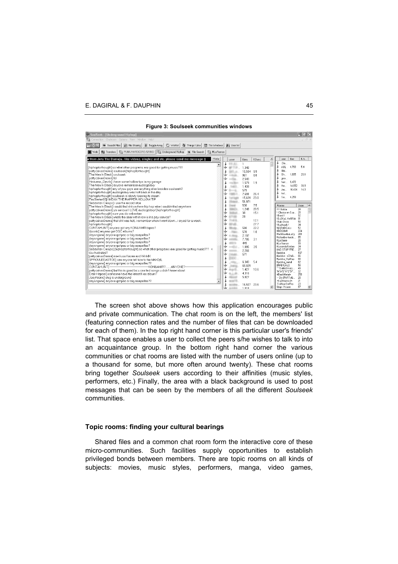# E. DAGIRAL & F. DAUPHIN 45

| <b>Figure 3. Souiseen Communities Williams</b>                                                                                 |                        |                                 |                          |                                                   |  |  |  |
|--------------------------------------------------------------------------------------------------------------------------------|------------------------|---------------------------------|--------------------------|---------------------------------------------------|--|--|--|
| SoulSeek - [Underground Hiphop]                                                                                                |                        |                                 |                          | $ \mathbb{F}$ $\times$                            |  |  |  |
| G.<br>Connection Chatroom Options View Window Help!                                                                            |                        |                                 |                          |                                                   |  |  |  |
| Wishlist / Things   Like   Like   Tile Windows   Wij User list<br>File Sharing<br>Toggle Away<br>Search Files                  |                        |                                 |                          |                                                   |  |  |  |
| <b>Will Transfers</b><br>File Search<br><b>Tall #La France</b>                                                                 |                        |                                 |                          |                                                   |  |  |  |
| PUNK/HARDCORE/GRIND     Underground Hiphop<br><b>■</b> Web                                                                     |                        |                                 |                          |                                                   |  |  |  |
| w from Jeru The Damaja like videoz, singlez and etc. please send me message :)<br>Hide                                         | user                   | files<br><b>K/sec</b>           | $\overline{\phantom{a}}$ | files<br>K/s<br>user                              |  |  |  |
| ∸<br>[hiphopforthought] so what other programs are good for getting music???                                                   | š<br><b>ER.AL</b><br>♣ | $\mathbf{1}$<br>1,340           |                          | Dis<br>AjAj<br>4.760<br>5.4                       |  |  |  |
| [pattycakes0rama] soulseek[hiphopforthought]                                                                                   |                        | 10.584 9.9                      |                          | blai                                              |  |  |  |
| The Man In Black] soulseek                                                                                                     | ٤                      | 961<br>8.8                      |                          | Gh<br>1.685<br>20.1                               |  |  |  |
| [pattycakes0rama] lol                                                                                                          | ٤                      | 2.543                           |                          | 000                                               |  |  |  |
| [Heavens Devils] i have some hollow tips in my garage<br>The Man In Black] anyone remember audiogalaxy                         |                        | 1.579<br>1.9                    |                          | harr 6.472                                        |  |  |  |
| [hiphopforthought] any of you guys use anything else besides soulseek?                                                         |                        | 1.439                           |                          | 14,652<br>38.9<br>He<br>10,434<br>14.9<br>Jaz     |  |  |  |
| [hiphopforthought] audiogalaxy was hott back in the day                                                                        | ڠ                      | 579                             |                          | kol                                               |  |  |  |
| [hiphopforthought] soulseek is slowly loosing its steam                                                                        | x                      | 7.691<br>26.4<br>15.639<br>23.0 |                          | 4,259<br>Su                                       |  |  |  |
| [FireStarter00] I MEAN THE RAPPER HOLLOW TIP                                                                                   | ă                      | 51.971                          |                          |                                                   |  |  |  |
| [Sebastian Crespo] i use the record stoe<br>[The Man In Black] i could find shit on there hip hop wise i couldnt find anywhere | ă                      | 530<br>7.5                      |                          | Rooms<br>Users                                    |  |  |  |
| [pattycakes0rama] vo serious! I LOVE audiogalaxy! [hiphopforthought]                                                           | š                      | 1.248<br>20.5                   |                          | LLI Galiza<br>28                                  |  |  |  |
| [hiphopforthought] sure you do sebastian                                                                                       | ري                     | 38<br>151                       |                          | I -Clasica en Esp<br>28<br>! Brasil!<br>92        |  |  |  |
| [The Man In Black] whats the deal with it now is it a pay service?                                                             | ٠<br>٠                 | 29                              |                          | ! EuSKaL HeRRiA<br>91                             |  |  |  |
| [pattycakes0rama] that shit was hott, i remember when it went down i cryed for a week.<br>[hiphopforthought]                   | 1.413<br>٠             | 12.1<br>27.7                    |                          | I Italo Disco<br>50                               |  |  |  |
| [CUNTAHUNT] anyone got any KON&AMIR tapes?                                                                                     | š                      | 22.2<br>580                     |                          | ! Kraftwerk !<br>34<br><b>IIIAIRaDiCaLs</b><br>52 |  |  |  |
| [disonic] anyone got OGC albums?                                                                                               |                        | 578<br>1.0                      |                          | 224<br><b>IIRIDDIMII</b>                          |  |  |  |
| [dayunqone] anyone got pac or big acapellas?                                                                                   |                        | 2.197                           |                          | !ReGGaeGaLaXv<br>281<br>85<br>#icilombre-hardc    |  |  |  |
| [dayungone] anyone got pac or big acapellas?                                                                                   |                        | 7.785<br>3.1                    |                          | #La Baise<br>28                                   |  |  |  |
| [dayungone] anyone got pac or big acapellas?<br>dayungone] anyone got pac or big acapellas?                                    |                        | 449                             |                          | #La France<br>99                                  |  |  |  |
| [Sebastian Crespo] [hiphopforthought] so what other programs are good for getting music??? <                                   | ے                      | 1.895<br>3.5<br>2.266           |                          | 24<br>#Lesondel'ombre<br>#NO STOP FRE<br>27       |  |  |  |
| You frustrated?                                                                                                                | ❖                      | 571                             |                          | #polska<br>197                                    |  |  |  |
| [pattycakes0rama] now i use Kazaa and WinMX                                                                                    | š                      |                                 |                          | #polska - sCHrA<br>66                             |  |  |  |
| [SPROULEEASTOE] can anyone tell how to the MAXD/L                                                                              | ž                      | 6,343<br>5.4                    |                          | #polska HipHop<br>88<br>62<br>#polska_metal       |  |  |  |
| [dayunqone] anyone got pac or big acapellas??<br><b>ICUNTAHUNTI-</b><br>-KON&AMIR?ANYONE?-                                     |                        | 68,609                          |                          | 58<br>[[RADICAL]]                                 |  |  |  |
| [pattycakes0rama] but this is good bc u can find songs u didn't know about                                                     |                        | 1.427<br>10.6                   |                          | ***DaNcEHaLL<br>49<br>"M"A"S"H"E"D"<br>32         |  |  |  |
| [Eran-Happel] someone have the latest K-os album?                                                                              |                        | 4.316                           |                          | 258<br>+BlackMetal+                               |  |  |  |
| (JoeyKronic) slug is underground                                                                                               |                        | 5.827                           |                          | 28<br>--- Dis [PoRTuG                             |  |  |  |
| [dayunqone] anyone got pac or big acapellas??<br>$\overline{\phantom{a}}$                                                      | š                      | 16.507<br>23.6                  |                          | -=] g3rmaica [=-<br>21<br>-TraNce-EmPire-<br>23   |  |  |  |
|                                                                                                                                | عد                     | 1.018                           |                          | 67<br>Oday - House                                |  |  |  |
|                                                                                                                                |                        |                                 |                          |                                                   |  |  |  |

**Figure 3: Soulseek communities windows** 

The screen shot above shows how this application encourages public and private communication. The chat room is on the left, the members' list (featuring connection rates and the number of files that can be downloaded for each of them). In the top right hand corner is this particular user's friends' list. That space enables a user to collect the peers s/he wishes to talk to into an acquaintance group. In the bottom right hand corner the various communities or chat rooms are listed with the number of users online (up to a thousand for some, but more often around twenty). These chat rooms bring together *Soulseek* users according to their affinities (music styles, performers, etc.) Finally, the area with a black background is used to post messages that can be seen by the members of all the different *Soulseek* communities.

#### **Topic rooms: finding your cultural bearings**

Shared files and a common chat room form the interactive core of these micro-communities. Such facilities supply opportunities to establish privileged bonds between members. There are topic rooms on all kinds of subjects: movies, music styles, performers, manga, video games,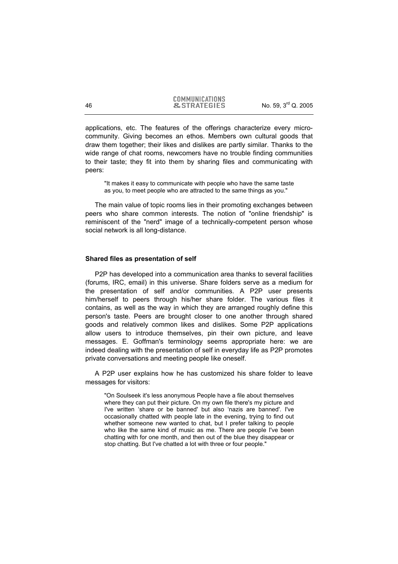applications, etc. The features of the offerings characterize every microcommunity. Giving becomes an ethos. Members own cultural goods that draw them together; their likes and dislikes are partly similar. Thanks to the wide range of chat rooms, newcomers have no trouble finding communities to their taste; they fit into them by sharing files and communicating with peers:

"It makes it easy to communicate with people who have the same taste as you, to meet people who are attracted to the same things as you."

The main value of topic rooms lies in their promoting exchanges between peers who share common interests. The notion of "online friendship" is reminiscent of the "nerd" image of a technically-competent person whose social network is all long-distance.

## **Shared files as presentation of self**

P2P has developed into a communication area thanks to several facilities (forums, IRC, email) in this universe. Share folders serve as a medium for the presentation of self and/or communities. A P2P user presents him/herself to peers through his/her share folder. The various files it contains, as well as the way in which they are arranged roughly define this person's taste. Peers are brought closer to one another through shared goods and relatively common likes and dislikes. Some P2P applications allow users to introduce themselves, pin their own picture, and leave messages. E. Goffman's terminology seems appropriate here: we are indeed dealing with the presentation of self in everyday life as P2P promotes private conversations and meeting people like oneself.

A P2P user explains how he has customized his share folder to leave messages for visitors:

"On Soulseek it's less anonymous People have a file about themselves where they can put their picture. On my own file there's my picture and I've written 'share or be banned' but also 'nazis are banned'. I've occasionally chatted with people late in the evening, trying to find out whether someone new wanted to chat, but I prefer talking to people who like the same kind of music as me. There are people I've been chatting with for one month, and then out of the blue they disappear or stop chatting. But I've chatted a lot with three or four people."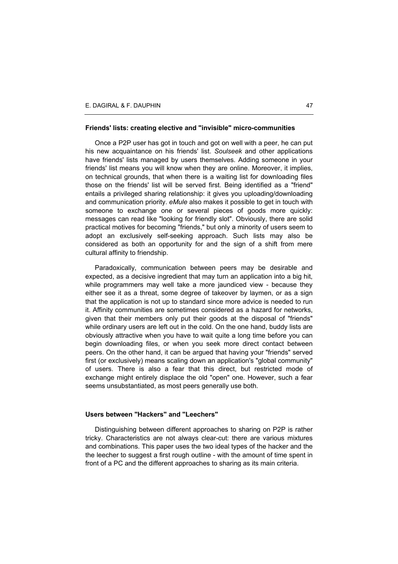## **Friends' lists: creating elective and "invisible" micro-communities**

Once a P2P user has got in touch and got on well with a peer, he can put his new acquaintance on his friends' list. *Soulseek* and other applications have friends' lists managed by users themselves. Adding someone in your friends' list means you will know when they are online. Moreover, it implies, on technical grounds, that when there is a waiting list for downloading files those on the friends' list will be served first. Being identified as a "friend" entails a privileged sharing relationship: it gives you uploading/downloading and communication priority. *eMule* also makes it possible to get in touch with someone to exchange one or several pieces of goods more quickly: messages can read like "looking for friendly slot". Obviously, there are solid practical motives for becoming "friends," but only a minority of users seem to adopt an exclusively self-seeking approach. Such lists may also be considered as both an opportunity for and the sign of a shift from mere cultural affinity to friendship.

Paradoxically, communication between peers may be desirable and expected, as a decisive ingredient that may turn an application into a big hit, while programmers may well take a more jaundiced view - because they either see it as a threat, some degree of takeover by laymen, or as a sign that the application is not up to standard since more advice is needed to run it. Affinity communities are sometimes considered as a hazard for networks, given that their members only put their goods at the disposal of "friends" while ordinary users are left out in the cold. On the one hand, buddy lists are obviously attractive when you have to wait quite a long time before you can begin downloading files, or when you seek more direct contact between peers. On the other hand, it can be argued that having your "friends" served first (or exclusively) means scaling down an application's "global community" of users. There is also a fear that this direct, but restricted mode of exchange might entirely displace the old "open" one. However, such a fear seems unsubstantiated, as most peers generally use both.

#### **Users between "Hackers" and "Leechers"**

Distinguishing between different approaches to sharing on P2P is rather tricky. Characteristics are not always clear-cut: there are various mixtures and combinations. This paper uses the two ideal types of the hacker and the the leecher to suggest a first rough outline - with the amount of time spent in front of a PC and the different approaches to sharing as its main criteria.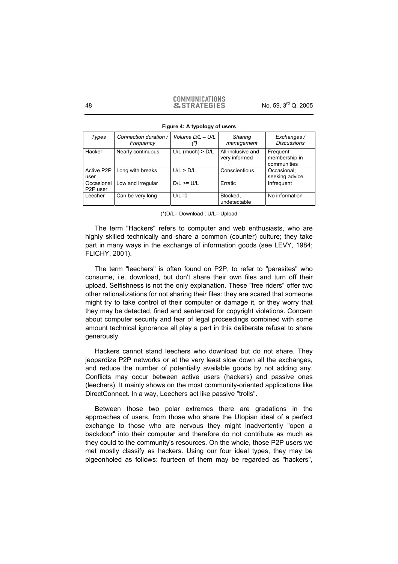#### **COMMUNICATIONS** 48 **8. STRATEGIES** No. 59, 3<sup>rd</sup> Q. 2005

| Types                               | Connection duration /<br>Frequency | Volume $D/L - U/L$   | Sharing<br>management              | Exchanges /<br><b>Discussions</b>         |
|-------------------------------------|------------------------------------|----------------------|------------------------------------|-------------------------------------------|
| Hacker                              | Nearly continuous                  | $U/L$ (much) > $D/L$ | All-inclusive and<br>very informed | Frequent:<br>membership in<br>communities |
| Active P2P<br>user                  | Long with breaks                   | U/L > D/L            | Conscientious                      | Occasional:<br>seeking advice             |
| Occasional<br>P <sub>2</sub> P user | Low and irregular                  | $D/L \geq U/L$       | Erratic                            | Infrequent                                |
| Leecher                             | Can be very long                   | $U/L=0$              | Blocked,<br>undetectable           | No information                            |

**Figure 4: A typology of users** 

(\*)D/L= Download ; U/L= Upload

The term "Hackers" refers to computer and web enthusiasts, who are highly skilled technically and share a common (counter) culture; they take part in many ways in the exchange of information goods (see LEVY, 1984; FLICHY, 2001).

The term "leechers" is often found on P2P, to refer to "parasites" who consume, i.e. download, but don't share their own files and turn off their upload. Selfishness is not the only explanation. These "free riders" offer two other rationalizations for not sharing their files: they are scared that someone might try to take control of their computer or damage it, or they worry that they may be detected, fined and sentenced for copyright violations. Concern about computer security and fear of legal proceedings combined with some amount technical ignorance all play a part in this deliberate refusal to share generously.

Hackers cannot stand leechers who download but do not share. They jeopardize P2P networks or at the very least slow down all the exchanges, and reduce the number of potentially available goods by not adding any. Conflicts may occur between active users (hackers) and passive ones (leechers). It mainly shows on the most community-oriented applications like DirectConnect. In a way, Leechers act like passive "trolls".

Between those two polar extremes there are gradations in the approaches of users, from those who share the Utopian ideal of a perfect exchange to those who are nervous they might inadvertently "open a backdoor" into their computer and therefore do not contribute as much as they could to the community's resources. On the whole, those P2P users we met mostly classify as hackers. Using our four ideal types, they may be pigeonholed as follows: fourteen of them may be regarded as "hackers",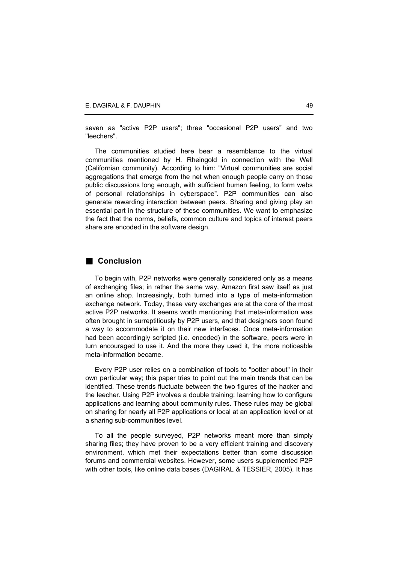seven as "active P2P users"; three "occasional P2P users" and two "leechers".

The communities studied here bear a resemblance to the virtual communities mentioned by H. Rheingold in connection with the Well (Californian community). According to him: "Virtual communities are social aggregations that emerge from the net when enough people carry on those public discussions long enough, with sufficient human feeling, to form webs of personal relationships in cyberspace". P2P communities can also generate rewarding interaction between peers. Sharing and giving play an essential part in the structure of these communities. We want to emphasize the fact that the norms, beliefs, common culture and topics of interest peers share are encoded in the software design.

# **Conclusion**

To begin with, P2P networks were generally considered only as a means of exchanging files; in rather the same way, Amazon first saw itself as just an online shop. Increasingly, both turned into a type of meta-information exchange network. Today, these very exchanges are at the core of the most active P2P networks. It seems worth mentioning that meta-information was often brought in surreptitiously by P2P users, and that designers soon found a way to accommodate it on their new interfaces. Once meta-information had been accordingly scripted (i.e. encoded) in the software, peers were in turn encouraged to use it. And the more they used it, the more noticeable meta-information became.

Every P2P user relies on a combination of tools to "potter about" in their own particular way; this paper tries to point out the main trends that can be identified. These trends fluctuate between the two figures of the hacker and the leecher. Using P2P involves a double training: learning how to configure applications and learning about community rules. These rules may be global on sharing for nearly all P2P applications or local at an application level or at a sharing sub-communities level.

To all the people surveyed, P2P networks meant more than simply sharing files; they have proven to be a very efficient training and discovery environment, which met their expectations better than some discussion forums and commercial websites. However, some users supplemented P2P with other tools, like online data bases (DAGIRAL & TESSIER, 2005). It has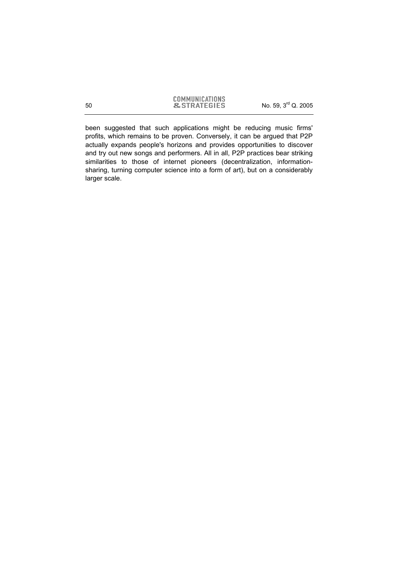been suggested that such applications might be reducing music firms' profits, which remains to be proven. Conversely, it can be argued that P2P actually expands people's horizons and provides opportunities to discover and try out new songs and performers. All in all, P2P practices bear striking similarities to those of internet pioneers (decentralization, informationsharing, turning computer science into a form of art), but on a considerably larger scale.